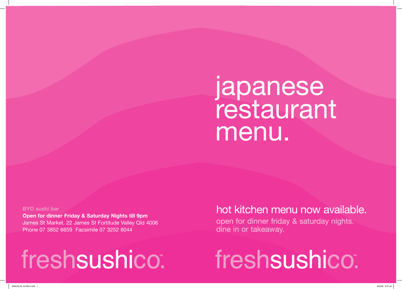**BYO sushi bar Open for dinner Friday & Saturday Nights till 9pm** James St Market. 22 James St Fortitude Valley Qld 4006 Phone 07 3852 6659 Facsimile 07 3252 8044

# freshsushico.

## japanese restaurant menu.

### hot kitchen menu now available. open for dinner friday & saturday nights.

dine in or takeaway.

freshsushico".